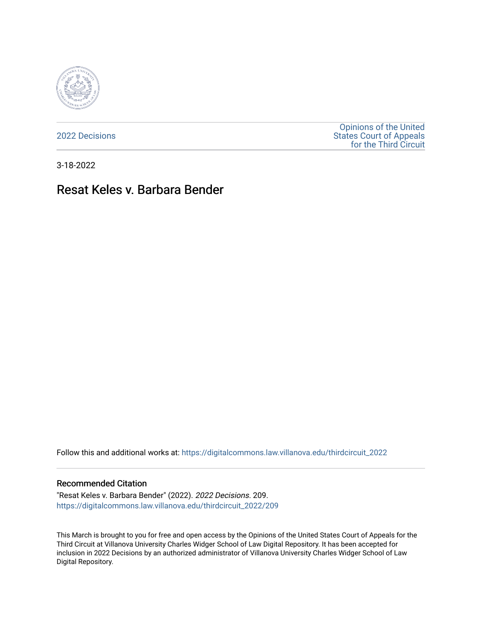

[2022 Decisions](https://digitalcommons.law.villanova.edu/thirdcircuit_2022)

[Opinions of the United](https://digitalcommons.law.villanova.edu/thirdcircuit)  [States Court of Appeals](https://digitalcommons.law.villanova.edu/thirdcircuit)  [for the Third Circuit](https://digitalcommons.law.villanova.edu/thirdcircuit) 

3-18-2022

# Resat Keles v. Barbara Bender

Follow this and additional works at: [https://digitalcommons.law.villanova.edu/thirdcircuit\\_2022](https://digitalcommons.law.villanova.edu/thirdcircuit_2022?utm_source=digitalcommons.law.villanova.edu%2Fthirdcircuit_2022%2F209&utm_medium=PDF&utm_campaign=PDFCoverPages) 

#### Recommended Citation

"Resat Keles v. Barbara Bender" (2022). 2022 Decisions. 209. [https://digitalcommons.law.villanova.edu/thirdcircuit\\_2022/209](https://digitalcommons.law.villanova.edu/thirdcircuit_2022/209?utm_source=digitalcommons.law.villanova.edu%2Fthirdcircuit_2022%2F209&utm_medium=PDF&utm_campaign=PDFCoverPages)

This March is brought to you for free and open access by the Opinions of the United States Court of Appeals for the Third Circuit at Villanova University Charles Widger School of Law Digital Repository. It has been accepted for inclusion in 2022 Decisions by an authorized administrator of Villanova University Charles Widger School of Law Digital Repository.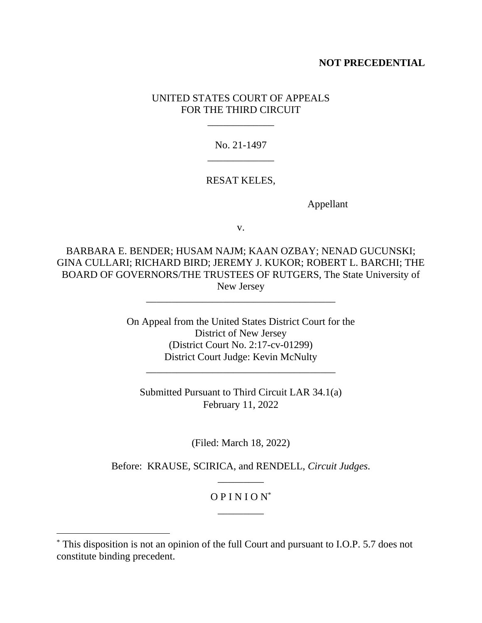### **NOT PRECEDENTIAL**

### UNITED STATES COURT OF APPEALS FOR THE THIRD CIRCUIT

\_\_\_\_\_\_\_\_\_\_\_\_\_

No. 21-1497 \_\_\_\_\_\_\_\_\_\_\_\_\_

#### RESAT KELES,

Appellant

v.

BARBARA E. BENDER; HUSAM NAJM; KAAN OZBAY; NENAD GUCUNSKI; GINA CULLARI; RICHARD BIRD; JEREMY J. KUKOR; ROBERT L. BARCHI; THE BOARD OF GOVERNORS/THE TRUSTEES OF RUTGERS, The State University of New Jersey

\_\_\_\_\_\_\_\_\_\_\_\_\_\_\_\_\_\_\_\_\_\_\_\_\_\_\_\_\_\_\_\_\_\_\_\_\_

On Appeal from the United States District Court for the District of New Jersey (District Court No. 2:17-cv-01299) District Court Judge: Kevin McNulty \_\_\_\_\_\_\_\_\_\_\_\_\_\_\_\_\_\_\_\_\_\_\_\_\_\_\_\_\_\_\_\_\_\_\_\_\_

Submitted Pursuant to Third Circuit LAR 34.1(a) February 11, 2022

(Filed: March 18, 2022)

Before: KRAUSE, SCIRICA, and RENDELL, *Circuit Judges*. \_\_\_\_\_\_\_\_\_

## $OPINION^*$ \_\_\_\_\_\_\_\_\_

<sup>\*</sup> This disposition is not an opinion of the full Court and pursuant to I.O.P. 5.7 does not constitute binding precedent.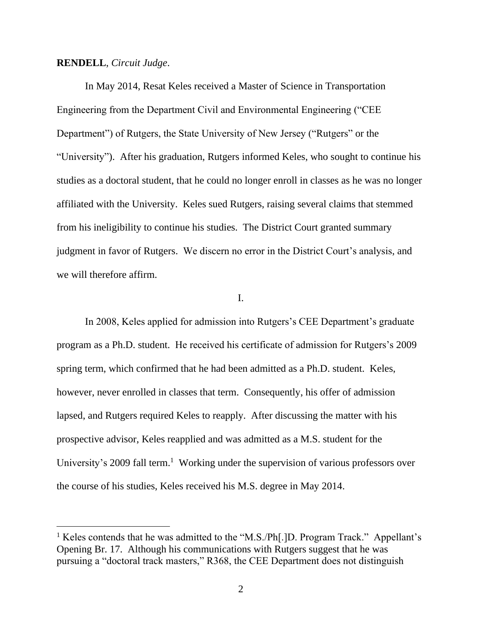#### **RENDELL**, *Circuit Judge*.

In May 2014, Resat Keles received a Master of Science in Transportation Engineering from the Department Civil and Environmental Engineering ("CEE Department") of Rutgers, the State University of New Jersey ("Rutgers" or the "University"). After his graduation, Rutgers informed Keles, who sought to continue his studies as a doctoral student, that he could no longer enroll in classes as he was no longer affiliated with the University. Keles sued Rutgers, raising several claims that stemmed from his ineligibility to continue his studies. The District Court granted summary judgment in favor of Rutgers. We discern no error in the District Court's analysis, and we will therefore affirm.

#### I.

In 2008, Keles applied for admission into Rutgers's CEE Department's graduate program as a Ph.D. student. He received his certificate of admission for Rutgers's 2009 spring term, which confirmed that he had been admitted as a Ph.D. student. Keles, however, never enrolled in classes that term. Consequently, his offer of admission lapsed, and Rutgers required Keles to reapply. After discussing the matter with his prospective advisor, Keles reapplied and was admitted as a M.S. student for the University's 2009 fall term.<sup>1</sup> Working under the supervision of various professors over the course of his studies, Keles received his M.S. degree in May 2014.

<sup>&</sup>lt;sup>1</sup> Keles contends that he was admitted to the "M.S./Ph[.]D. Program Track." Appellant's Opening Br. 17. Although his communications with Rutgers suggest that he was pursuing a "doctoral track masters," R368, the CEE Department does not distinguish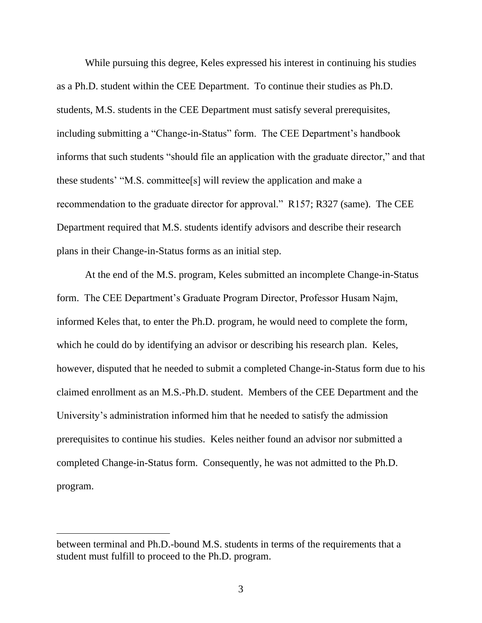While pursuing this degree, Keles expressed his interest in continuing his studies as a Ph.D. student within the CEE Department. To continue their studies as Ph.D. students, M.S. students in the CEE Department must satisfy several prerequisites, including submitting a "Change-in-Status" form. The CEE Department's handbook informs that such students "should file an application with the graduate director," and that these students' "M.S. committee[s] will review the application and make a recommendation to the graduate director for approval." R157; R327 (same). The CEE Department required that M.S. students identify advisors and describe their research plans in their Change-in-Status forms as an initial step.

At the end of the M.S. program, Keles submitted an incomplete Change-in-Status form. The CEE Department's Graduate Program Director, Professor Husam Najm, informed Keles that, to enter the Ph.D. program, he would need to complete the form, which he could do by identifying an advisor or describing his research plan. Keles, however, disputed that he needed to submit a completed Change-in-Status form due to his claimed enrollment as an M.S.-Ph.D. student. Members of the CEE Department and the University's administration informed him that he needed to satisfy the admission prerequisites to continue his studies. Keles neither found an advisor nor submitted a completed Change-in-Status form. Consequently, he was not admitted to the Ph.D. program.

between terminal and Ph.D.-bound M.S. students in terms of the requirements that a student must fulfill to proceed to the Ph.D. program.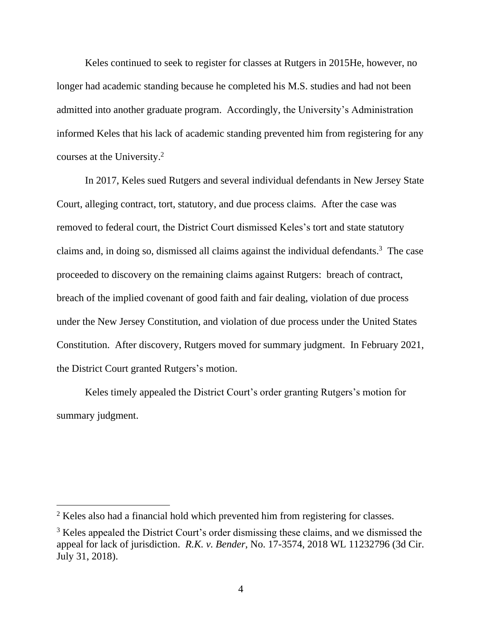Keles continued to seek to register for classes at Rutgers in 2015He, however, no longer had academic standing because he completed his M.S. studies and had not been admitted into another graduate program. Accordingly, the University's Administration informed Keles that his lack of academic standing prevented him from registering for any courses at the University. 2

In 2017, Keles sued Rutgers and several individual defendants in New Jersey State Court, alleging contract, tort, statutory, and due process claims. After the case was removed to federal court, the District Court dismissed Keles's tort and state statutory claims and, in doing so, dismissed all claims against the individual defendants. 3 The case proceeded to discovery on the remaining claims against Rutgers: breach of contract, breach of the implied covenant of good faith and fair dealing, violation of due process under the New Jersey Constitution, and violation of due process under the United States Constitution. After discovery, Rutgers moved for summary judgment. In February 2021, the District Court granted Rutgers's motion.

Keles timely appealed the District Court's order granting Rutgers's motion for summary judgment.

<sup>&</sup>lt;sup>2</sup> Keles also had a financial hold which prevented him from registering for classes.

<sup>&</sup>lt;sup>3</sup> Keles appealed the District Court's order dismissing these claims, and we dismissed the appeal for lack of jurisdiction. *R.K. v. Bender*, No. 17-3574, 2018 WL 11232796 (3d Cir. July 31, 2018).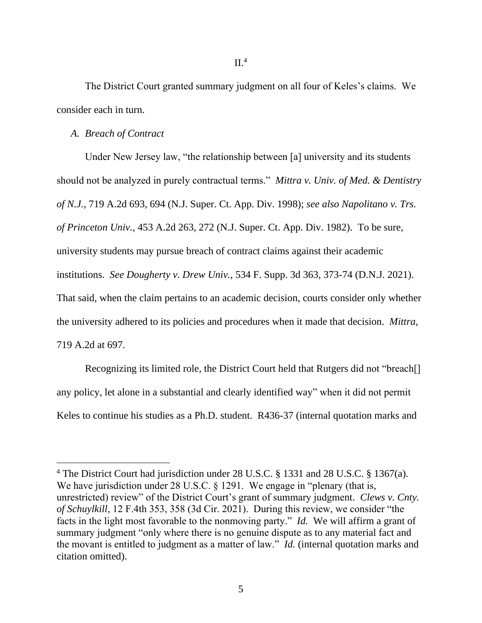The District Court granted summary judgment on all four of Keles's claims. We consider each in turn.

#### *A. Breach of Contract*

Under New Jersey law, "the relationship between [a] university and its students should not be analyzed in purely contractual terms." *Mittra v. Univ. of Med. & Dentistry of N.J.*, 719 A.2d 693, 694 (N.J. Super. Ct. App. Div. 1998); *see also Napolitano v. Trs. of Princeton Univ.*, 453 A.2d 263, 272 (N.J. Super. Ct. App. Div. 1982). To be sure, university students may pursue breach of contract claims against their academic institutions. *See Dougherty v. Drew Univ.*, 534 F. Supp. 3d 363, 373-74 (D.N.J. 2021). That said, when the claim pertains to an academic decision, courts consider only whether the university adhered to its policies and procedures when it made that decision. *Mittra*, 719 A.2d at 697.

Recognizing its limited role, the District Court held that Rutgers did not "breach[] any policy, let alone in a substantial and clearly identified way" when it did not permit Keles to continue his studies as a Ph.D. student. R436-37 (internal quotation marks and

<sup>4</sup> The District Court had jurisdiction under 28 U.S.C. § 1331 and 28 U.S.C. § 1367(a). We have jurisdiction under 28 U.S.C. § 1291. We engage in "plenary (that is, unrestricted) review" of the District Court's grant of summary judgment. *Clews v. Cnty. of Schuylkill*, 12 F.4th 353, 358 (3d Cir. 2021). During this review, we consider "the facts in the light most favorable to the nonmoving party." *Id.* We will affirm a grant of summary judgment "only where there is no genuine dispute as to any material fact and the movant is entitled to judgment as a matter of law." *Id.* (internal quotation marks and citation omitted).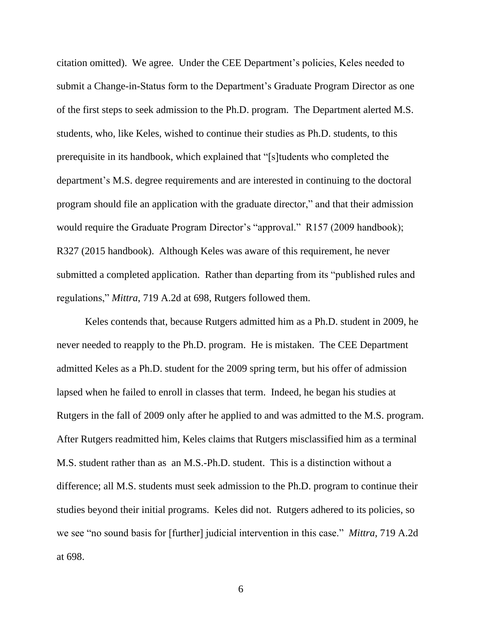citation omitted). We agree. Under the CEE Department's policies, Keles needed to submit a Change-in-Status form to the Department's Graduate Program Director as one of the first steps to seek admission to the Ph.D. program. The Department alerted M.S. students, who, like Keles, wished to continue their studies as Ph.D. students, to this prerequisite in its handbook, which explained that "[s]tudents who completed the department's M.S. degree requirements and are interested in continuing to the doctoral program should file an application with the graduate director," and that their admission would require the Graduate Program Director's "approval." R157 (2009 handbook); R327 (2015 handbook). Although Keles was aware of this requirement, he never submitted a completed application. Rather than departing from its "published rules and regulations," *Mittra*, 719 A.2d at 698, Rutgers followed them.

Keles contends that, because Rutgers admitted him as a Ph.D. student in 2009, he never needed to reapply to the Ph.D. program. He is mistaken. The CEE Department admitted Keles as a Ph.D. student for the 2009 spring term, but his offer of admission lapsed when he failed to enroll in classes that term. Indeed, he began his studies at Rutgers in the fall of 2009 only after he applied to and was admitted to the M.S. program. After Rutgers readmitted him, Keles claims that Rutgers misclassified him as a terminal M.S. student rather than as an M.S.-Ph.D. student. This is a distinction without a difference; all M.S. students must seek admission to the Ph.D. program to continue their studies beyond their initial programs. Keles did not. Rutgers adhered to its policies, so we see "no sound basis for [further] judicial intervention in this case." *Mittra*, 719 A.2d at 698.

6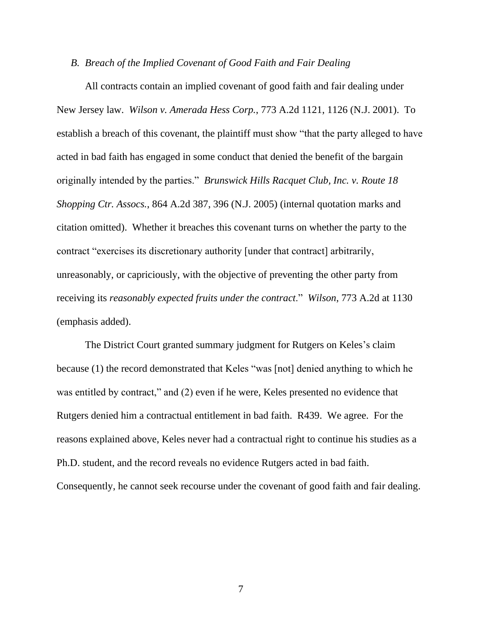#### *B. Breach of the Implied Covenant of Good Faith and Fair Dealing*

All contracts contain an implied covenant of good faith and fair dealing under New Jersey law. *Wilson v. Amerada Hess Corp.*, 773 A.2d 1121, 1126 (N.J. 2001). To establish a breach of this covenant, the plaintiff must show "that the party alleged to have acted in bad faith has engaged in some conduct that denied the benefit of the bargain originally intended by the parties." *Brunswick Hills Racquet Club, Inc. v. Route 18 Shopping Ctr. Assocs.*, 864 A.2d 387, 396 (N.J. 2005) (internal quotation marks and citation omitted). Whether it breaches this covenant turns on whether the party to the contract "exercises its discretionary authority [under that contract] arbitrarily, unreasonably, or capriciously, with the objective of preventing the other party from receiving its *reasonably expected fruits under the contract*." *Wilson*, 773 A.2d at 1130 (emphasis added).

The District Court granted summary judgment for Rutgers on Keles's claim because (1) the record demonstrated that Keles "was [not] denied anything to which he was entitled by contract," and (2) even if he were, Keles presented no evidence that Rutgers denied him a contractual entitlement in bad faith. R439. We agree. For the reasons explained above, Keles never had a contractual right to continue his studies as a Ph.D. student, and the record reveals no evidence Rutgers acted in bad faith. Consequently, he cannot seek recourse under the covenant of good faith and fair dealing.

7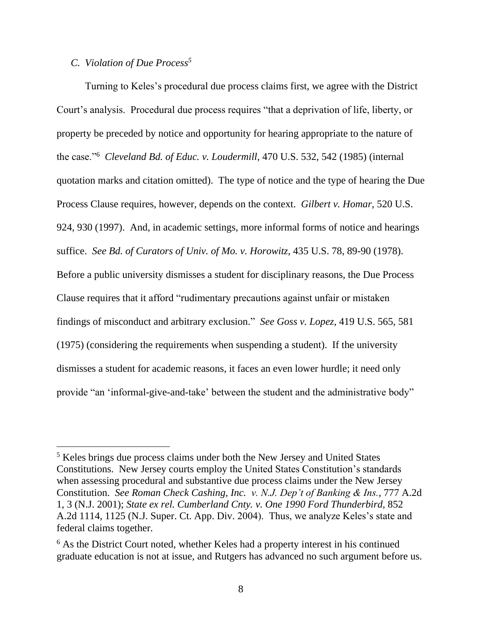# *C. Violation of Due Process<sup>5</sup>*

Turning to Keles's procedural due process claims first, we agree with the District Court's analysis. Procedural due process requires "that a deprivation of life, liberty, or property be preceded by notice and opportunity for hearing appropriate to the nature of the case."<sup>6</sup> *Cleveland Bd. of Educ. v. Loudermill*, 470 U.S. 532, 542 (1985) (internal quotation marks and citation omitted). The type of notice and the type of hearing the Due Process Clause requires, however, depends on the context. *Gilbert v. Homar*, 520 U.S. 924, 930 (1997). And, in academic settings, more informal forms of notice and hearings suffice. *See Bd. of Curators of Univ. of Mo. v. Horowitz*, 435 U.S. 78, 89-90 (1978). Before a public university dismisses a student for disciplinary reasons, the Due Process Clause requires that it afford "rudimentary precautions against unfair or mistaken findings of misconduct and arbitrary exclusion." *See Goss v. Lopez*, 419 U.S. 565, 581 (1975) (considering the requirements when suspending a student). If the university dismisses a student for academic reasons, it faces an even lower hurdle; it need only provide "an 'informal-give-and-take' between the student and the administrative body"

<sup>5</sup> Keles brings due process claims under both the New Jersey and United States Constitutions. New Jersey courts employ the United States Constitution's standards when assessing procedural and substantive due process claims under the New Jersey Constitution. *See Roman Check Cashing, Inc. v. N.J. Dep't of Banking & Ins.*, 777 A.2d 1, 3 (N.J. 2001); *State ex rel. Cumberland Cnty. v. One 1990 Ford Thunderbird*, 852 A.2d 1114, 1125 (N.J. Super. Ct. App. Div. 2004). Thus, we analyze Keles's state and federal claims together.

<sup>&</sup>lt;sup>6</sup> As the District Court noted, whether Keles had a property interest in his continued graduate education is not at issue, and Rutgers has advanced no such argument before us.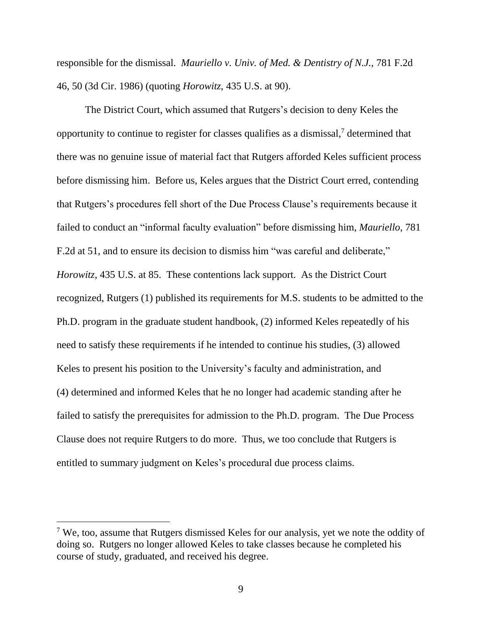responsible for the dismissal. *Mauriello v. Univ. of Med. & Dentistry of N.J.*, 781 F.2d 46, 50 (3d Cir. 1986) (quoting *Horowitz*, 435 U.S. at 90).

The District Court, which assumed that Rutgers's decision to deny Keles the opportunity to continue to register for classes qualifies as a dismissal, <sup>7</sup> determined that there was no genuine issue of material fact that Rutgers afforded Keles sufficient process before dismissing him. Before us, Keles argues that the District Court erred, contending that Rutgers's procedures fell short of the Due Process Clause's requirements because it failed to conduct an "informal faculty evaluation" before dismissing him, *Mauriello*, 781 F.2d at 51, and to ensure its decision to dismiss him "was careful and deliberate," *Horowitz*, 435 U.S. at 85. These contentions lack support. As the District Court recognized, Rutgers (1) published its requirements for M.S. students to be admitted to the Ph.D. program in the graduate student handbook, (2) informed Keles repeatedly of his need to satisfy these requirements if he intended to continue his studies, (3) allowed Keles to present his position to the University's faculty and administration, and (4) determined and informed Keles that he no longer had academic standing after he failed to satisfy the prerequisites for admission to the Ph.D. program. The Due Process Clause does not require Rutgers to do more. Thus, we too conclude that Rutgers is entitled to summary judgment on Keles's procedural due process claims.

 $7$  We, too, assume that Rutgers dismissed Keles for our analysis, yet we note the oddity of doing so. Rutgers no longer allowed Keles to take classes because he completed his course of study, graduated, and received his degree.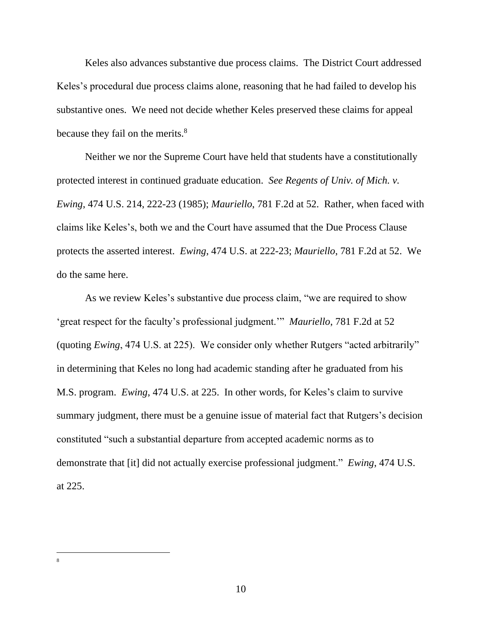Keles also advances substantive due process claims. The District Court addressed Keles's procedural due process claims alone, reasoning that he had failed to develop his substantive ones. We need not decide whether Keles preserved these claims for appeal because they fail on the merits.<sup>8</sup>

Neither we nor the Supreme Court have held that students have a constitutionally protected interest in continued graduate education. *See Regents of Univ. of Mich. v. Ewing*, 474 U.S. 214, 222-23 (1985); *Mauriello*, 781 F.2d at 52. Rather, when faced with claims like Keles's, both we and the Court have assumed that the Due Process Clause protects the asserted interest. *Ewing*, 474 U.S. at 222-23; *Mauriello*, 781 F.2d at 52. We do the same here.

As we review Keles's substantive due process claim, "we are required to show 'great respect for the faculty's professional judgment.'" *Mauriello*, 781 F.2d at 52 (quoting *Ewing*, 474 U.S. at 225). We consider only whether Rutgers "acted arbitrarily" in determining that Keles no long had academic standing after he graduated from his M.S. program. *Ewing*, 474 U.S. at 225. In other words, for Keles's claim to survive summary judgment, there must be a genuine issue of material fact that Rutgers's decision constituted "such a substantial departure from accepted academic norms as to demonstrate that [it] did not actually exercise professional judgment." *Ewing*, 474 U.S. at 225.

<sup>8</sup>